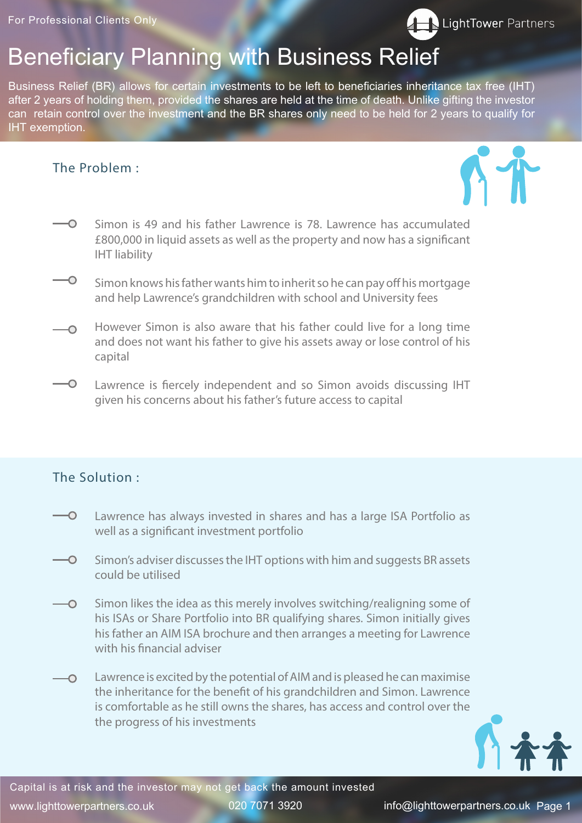www.lighttowerpartners.co.uk 020 7071 3920 info@lighttowerpartners.co.uk Page 1

## Beneficiary Planning with Business Relief

Business Relief (BR) allows for certain investments to be left to beneficiaries inheritance tax free (IHT) after 2 years of holding them, provided the shares are held at the time of death. Unlike gifting the investor can retain control over the investment and the BR shares only need to be held for 2 years to qualify for IHT exemption.



- Simon is 49 and his father Lawrence is 78. Lawrence has accumulated  $\overline{\mathbf{C}}$ £800,000 in liquid assets as well as the property and now has a significant IHT liability
- $\overline{\phantom{0}}$ Simon knows his father wants him to inherit so he can pay off his mortgage and help Lawrence's grandchildren with school and University fees
- However Simon is also aware that his father could live for a long time  $\overline{\bigcirc}$ and does not want his father to give his assets away or lose control of his capital
- Lawrence is fiercely independent and so Simon avoids discussing IHT  $\overline{\phantom{0}}$ given his concerns about his father's future access to capital

- Lawrence has always invested in shares and has a large ISA Portfolio as  $\overline{\phantom{0}}$ well as a significant investment portfolio
- Simon's adviser discusses the IHT options with him and suggests BR assets  $\overline{\mathbf{C}}$ could be utilised
- Simon likes the idea as this merely involves switching/realigning some of  $\overline{\phantom{0}}$ his ISAs or Share Portfolio into BR qualifying shares. Simon initially gives

his father an AIM ISA brochure and then arranges a meeting for Lawrence with his financial adviser

Lawrence is excited by the potential of AIM and is pleased he can maximise  $\overline{\mathbf{C}}$ the inheritance for the benefit of his grandchildren and Simon. Lawrence is comfortable as he still owns the shares, has access and control over the the progress of his investments



## The Problem :



## The Solution :

Capital is at risk and the investor may not get back the amount invested